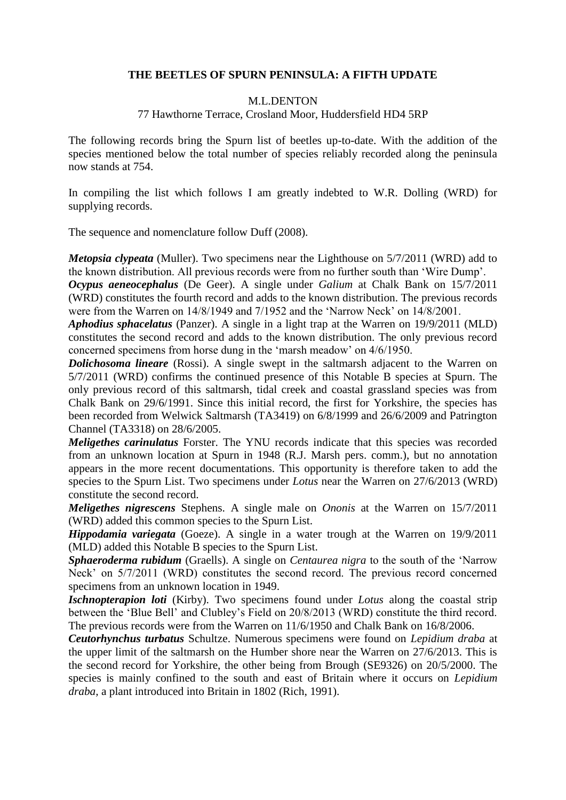### **THE BEETLES OF SPURN PENINSULA: A FIFTH UPDATE**

#### M.L.DENTON

### 77 Hawthorne Terrace, Crosland Moor, Huddersfield HD4 5RP

The following records bring the Spurn list of beetles up-to-date. With the addition of the species mentioned below the total number of species reliably recorded along the peninsula now stands at 754.

In compiling the list which follows I am greatly indebted to W.R. Dolling (WRD) for supplying records.

The sequence and nomenclature follow Duff (2008).

*Metopsia clypeata* (Muller). Two specimens near the Lighthouse on 5/7/2011 (WRD) add to the known distribution. All previous records were from no further south than 'Wire Dump'.

*Ocypus aeneocephalus* (De Geer). A single under *Galium* at Chalk Bank on 15/7/2011 (WRD) constitutes the fourth record and adds to the known distribution. The previous records were from the Warren on 14/8/1949 and 7/1952 and the 'Narrow Neck' on 14/8/2001.

*Aphodius sphacelatus* (Panzer). A single in a light trap at the Warren on 19/9/2011 (MLD) constitutes the second record and adds to the known distribution. The only previous record concerned specimens from horse dung in the 'marsh meadow' on 4/6/1950.

*Dolichosoma lineare* (Rossi). A single swept in the saltmarsh adjacent to the Warren on 5/7/2011 (WRD) confirms the continued presence of this Notable B species at Spurn. The only previous record of this saltmarsh, tidal creek and coastal grassland species was from Chalk Bank on 29/6/1991. Since this initial record, the first for Yorkshire, the species has been recorded from Welwick Saltmarsh (TA3419) on 6/8/1999 and 26/6/2009 and Patrington Channel (TA3318) on 28/6/2005.

*Meligethes carinulatus* Forster. The YNU records indicate that this species was recorded from an unknown location at Spurn in 1948 (R.J. Marsh pers. comm.), but no annotation appears in the more recent documentations. This opportunity is therefore taken to add the species to the Spurn List. Two specimens under *Lotus* near the Warren on 27/6/2013 (WRD) constitute the second record.

*Meligethes nigrescens* Stephens. A single male on *Ononis* at the Warren on 15/7/2011 (WRD) added this common species to the Spurn List.

*Hippodamia variegata* (Goeze). A single in a water trough at the Warren on 19/9/2011 (MLD) added this Notable B species to the Spurn List.

*Sphaeroderma rubidum* (Graells). A single on *Centaurea nigra* to the south of the 'Narrow Neck' on 5/7/2011 (WRD) constitutes the second record. The previous record concerned specimens from an unknown location in 1949.

*Ischnopterapion loti* (Kirby). Two specimens found under *Lotus* along the coastal strip between the 'Blue Bell' and Clubley's Field on 20/8/2013 (WRD) constitute the third record. The previous records were from the Warren on 11/6/1950 and Chalk Bank on 16/8/2006.

*Ceutorhynchus turbatus* Schultze. Numerous specimens were found on *Lepidium draba* at the upper limit of the saltmarsh on the Humber shore near the Warren on 27/6/2013. This is the second record for Yorkshire, the other being from Brough (SE9326) on 20/5/2000. The species is mainly confined to the south and east of Britain where it occurs on *Lepidium draba,* a plant introduced into Britain in 1802 (Rich, 1991).